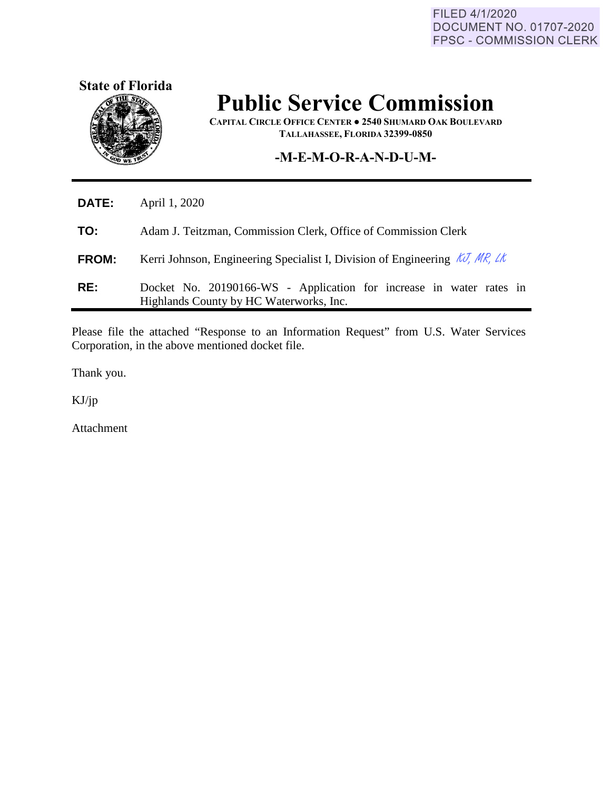FILED 4/1/2020 DOCUMENT NO. 01707-2020 FPSC - COMMISSION CLERK



# **Public Service Commission**

**CAPITAL CIRCLE OFFICE CENTER ● 2540 SHUMARD OAK BOULEVARD TALLAHASSEE, FLORIDA 32399-0850**

### **-M-E-M-O-R-A-N-D-U-M-**

| <b>DATE:</b> | April 1, 2020                                                                                                  |  |
|--------------|----------------------------------------------------------------------------------------------------------------|--|
| TO:          | Adam J. Teitzman, Commission Clerk, Office of Commission Clerk                                                 |  |
| <b>FROM:</b> | Kerri Johnson, Engineering Specialist I, Division of Engineering $\mathcal{K}$ , MR, LK                        |  |
| RE:          | Docket No. 20190166-WS - Application for increase in water rates in<br>Highlands County by HC Waterworks, Inc. |  |

Please file the attached "Response to an Information Request" from U.S. Water Services Corporation, in the above mentioned docket file.

Thank you.

KJ/jp

Ĭ.

Attachment